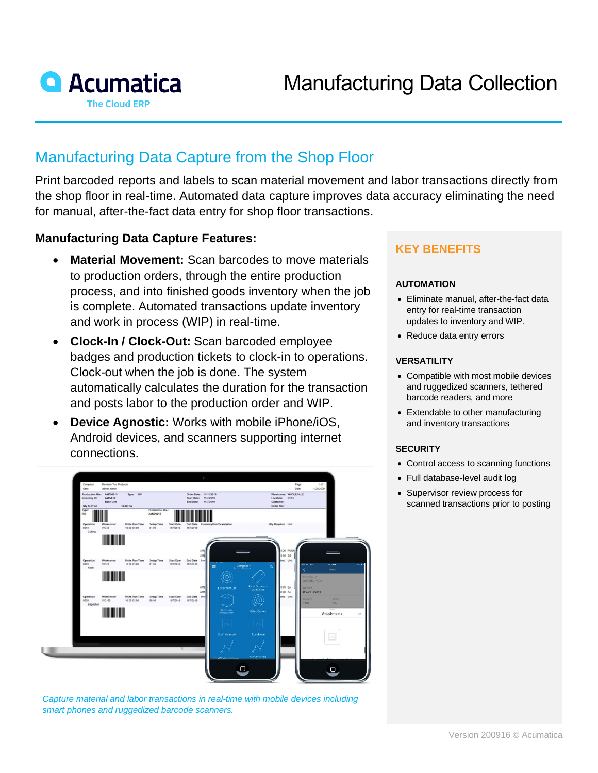

# Manufacturing Data Capture from the Shop Floor

Print barcoded reports and labels to scan material movement and labor transactions directly from the shop floor in real-time. Automated data capture improves data accuracy eliminating the need for manual, after-the-fact data entry for shop floor transactions.

## **Manufacturing Data Capture Features:**

- **Material Movement:** Scan barcodes to move materials to production orders, through the entire production process, and into finished goods inventory when the job is complete. Automated transactions update inventory and work in process (WIP) in real-time.
- **Clock-In / Clock-Out:** Scan barcoded employee badges and production tickets to clock-in to operations. Clock-out when the job is done. The system automatically calculates the duration for the transaction and posts labor to the production order and WIP.
- **Device Agnostic:** Works with mobile iPhone/iOS, Android devices, and scanners supporting internet connections.



*Capture material and labor transactions in real-time with mobile devices including smart phones and ruggedized barcode scanners.*

# **KEY BENEFITS**

#### **AUTOMATION**

- Eliminate manual, after-the-fact data entry for real-time transaction updates to inventory and WIP.
- Reduce data entry errors

#### **VERSATILITY**

- Compatible with most mobile devices and ruggedized scanners, tethered barcode readers, and more
- Extendable to other manufacturing and inventory transactions

#### **SECURITY**

- Control access to scanning functions
- Full database-level audit log
- Supervisor review process for scanned transactions prior to posting